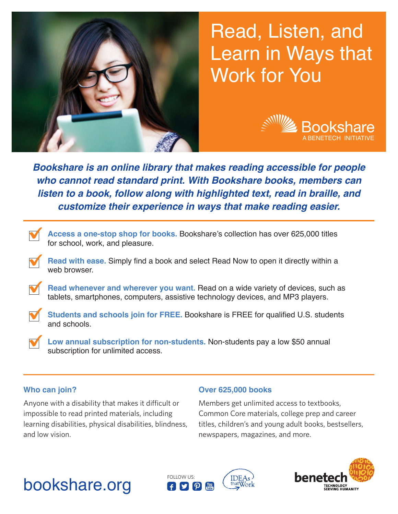

# Read, Listen, and Learn in Ways that Work for You



*Bookshare is an online library that makes reading accessible for people who cannot read standard print. With Bookshare books, members can listen to a book, follow along with highlighted text, read in braille, and customize their experience in ways that make reading easier.*



**Read with ease.** Simply find a book and select Read Now to open it directly within a web browser

Read whenever and wherever you want. Read on a wide variety of devices, such as tablets, smartphones, computers, assistive technology devices, and MP3 players.

**Students and schools join for FREE.** Bookshare is FREE for qualified U.S. students and schools.

**Low annual subscription for non-students.** Non-students pay a low \$50 annual subscription for unlimited access.

## **Who can join?**

Anyone with a disability that makes it difficult or impossible to read printed materials, including learning disabilities, physical disabilities, blindness, and low vision.

#### **Over 625,000 books**

Members get unlimited access to textbooks, Common Core materials, college prep and career titles, children's and young adult books, bestsellers, newspapers, magazines, and more.

# bookshare.org 6DD